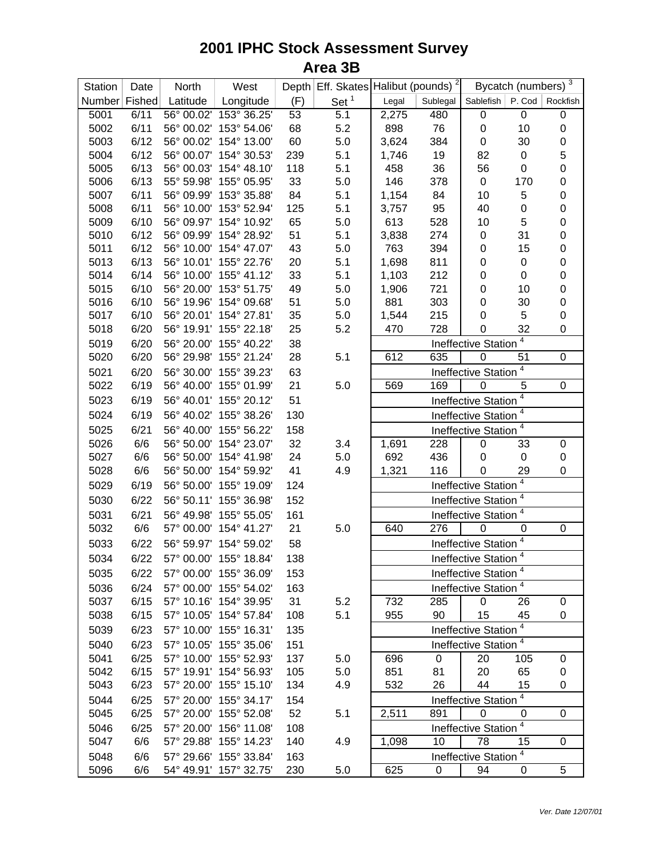| Station       | Date | North      | West                   |     | Depth Eff. Skates Halibut (pounds) <sup>2</sup> |       | Bycatch (numbers) 3 |                                  |                      |                  |
|---------------|------|------------|------------------------|-----|-------------------------------------------------|-------|---------------------|----------------------------------|----------------------|------------------|
| Number Fished |      | Latitude   | Longitude              | (F) | Set $1$                                         | Legal | Sublegal            | Sablefish   P. Cod               |                      | Rockfish         |
| 5001          | 6/11 | 56° 00.02' | 153° 36.25'            | 53  | 5.1                                             | 2,275 | 480                 | $\pmb{0}$                        | $\mathbf 0$          | $\boldsymbol{0}$ |
| 5002          | 6/11 |            | 56° 00.02' 153° 54.06' | 68  | 5.2                                             | 898   | 76                  | $\boldsymbol{0}$                 | 10                   | $\pmb{0}$        |
| 5003          | 6/12 | 56° 00.02' | 154° 13.00'            | 60  | 5.0                                             | 3,624 | 384                 | 0                                | 30                   | $\boldsymbol{0}$ |
| 5004          | 6/12 | 56° 00.07' | 154° 30.53'            | 239 | 5.1                                             | 1,746 | 19                  | 82                               | $\boldsymbol{0}$     | 5                |
| 5005          | 6/13 | 56° 00.03' | 154° 48.10'            | 118 | 5.1                                             | 458   | 36                  | 56                               | $\boldsymbol{0}$     | $\mathbf 0$      |
| 5006          | 6/13 |            | 55° 59.98' 155° 05.95' | 33  | 5.0                                             | 146   | 378                 | $\pmb{0}$                        | 170                  | $\mathbf 0$      |
| 5007          | 6/11 |            | 56° 09.99' 153° 35.88' | 84  | 5.1                                             | 1,154 | 84                  | 10                               | 5                    | $\mathbf 0$      |
| 5008          | 6/11 |            | 56° 10.00' 153° 52.94' | 125 | 5.1                                             | 3,757 | 95                  | 40                               | $\mathbf 0$          | $\mathbf 0$      |
| 5009          | 6/10 |            | 56° 09.97' 154° 10.92' | 65  | 5.0                                             | 613   | 528                 | 10                               | 5                    | $\mathbf 0$      |
| 5010          | 6/12 |            | 56° 09.99' 154° 28.92' | 51  | 5.1                                             | 3,838 | 274                 | 0                                | 31                   | $\mathbf 0$      |
| 5011          | 6/12 |            | 56° 10.00' 154° 47.07' | 43  | 5.0                                             | 763   | 394                 | 0                                | 15                   | $\pmb{0}$        |
| 5013          | 6/13 |            | 56° 10.01' 155° 22.76' | 20  | 5.1                                             | 1,698 | 811                 | 0                                | $\pmb{0}$            | $\pmb{0}$        |
| 5014          | 6/14 |            | 56° 10.00' 155° 41.12' | 33  | 5.1                                             | 1,103 | 212                 | 0                                | $\boldsymbol{0}$     | $\pmb{0}$        |
| 5015          | 6/10 | 56° 20.00' | 153° 51.75'            | 49  | 5.0                                             | 1,906 | 721                 | 0                                | 10                   | $\pmb{0}$        |
| 5016          | 6/10 |            | 56° 19.96' 154° 09.68' | 51  | 5.0                                             | 881   | 303                 | 0                                | 30                   | $\pmb{0}$        |
| 5017          | 6/10 |            | 56° 20.01' 154° 27.81' | 35  | 5.0                                             | 1,544 | 215                 | 0                                | 5                    | $\boldsymbol{0}$ |
| 5018          | 6/20 |            | 56° 19.91' 155° 22.18' | 25  | 5.2                                             | 470   | 728                 | $\boldsymbol{0}$                 | 32                   | $\boldsymbol{0}$ |
| 5019          | 6/20 |            | 56° 20.00' 155° 40.22' | 38  |                                                 |       |                     | Ineffective Station              | 4                    |                  |
| 5020          | 6/20 |            | 56° 29.98' 155° 21.24' | 28  | 5.1                                             | 612   | 635                 | $\mathbf 0$                      | 51                   | $\mathbf 0$      |
| 5021          | 6/20 |            | 56° 30.00' 155° 39.23' | 63  |                                                 |       |                     | Ineffective Station              | $\overline{4}$       |                  |
| 5022          | 6/19 |            | 56° 40.00' 155° 01.99' | 21  | 5.0                                             | 569   | 169                 | $\mathbf 0$                      | 5                    | $\mathbf 0$      |
| 5023          | 6/19 |            | 56° 40.01' 155° 20.12' | 51  |                                                 |       |                     |                                  | 4                    |                  |
|               |      |            |                        |     |                                                 |       |                     | Ineffective Station              |                      |                  |
| 5024          | 6/19 |            | 56° 40.02' 155° 38.26' | 130 |                                                 |       |                     | Ineffective Station <sup>4</sup> |                      |                  |
| 5025          | 6/21 |            | 56° 40.00' 155° 56.22' | 158 |                                                 |       |                     | Ineffective Station <sup>4</sup> |                      |                  |
| 5026          | 6/6  |            | 56° 50.00' 154° 23.07' | 32  | 3.4                                             | 1,691 | 228                 | 0                                | 33                   | 0                |
| 5027          | 6/6  |            | 56° 50.00' 154° 41.98' | 24  | 5.0                                             | 692   | 436                 | 0                                | $\mathbf 0$          | 0                |
| 5028          | 6/6  | 56° 50.00' | 154° 59.92'            | 41  | 4.9                                             | 1,321 | 116                 | $\boldsymbol{0}$                 | 29<br>4              | 0                |
| 5029          | 6/19 |            | 56° 50.00' 155° 19.09' | 124 |                                                 |       |                     | Ineffective Station              |                      |                  |
| 5030          | 6/22 |            | 56° 50.11' 155° 36.98' | 152 |                                                 |       |                     | Ineffective Station <sup>4</sup> |                      |                  |
| 5031          | 6/21 |            | 56° 49.98' 155° 55.05' | 161 |                                                 |       |                     | Ineffective Station <sup>4</sup> |                      |                  |
| 5032          | 6/6  |            | 57° 00.00' 154° 41.27' | 21  | 5.0                                             | 640   | 276                 | $\pmb{0}$                        | 0                    | 0                |
| 5033          | 6/22 |            | 56° 59.97' 154° 59.02' | 58  |                                                 |       |                     | Ineffective Station              | 4                    |                  |
| 5034          | 6/22 |            | 57° 00.00' 155° 18.84' | 138 |                                                 |       |                     | Ineffective Station <sup>4</sup> |                      |                  |
| 5035          | 6/22 |            | 57° 00.00' 155° 36.09' | 153 |                                                 |       |                     | Ineffective Station              | $\overline{a}$       |                  |
| 5036          | 6/24 |            | 57° 00.00' 155° 54.02' | 163 |                                                 |       |                     | Ineffective Station <sup>4</sup> |                      |                  |
| 5037          | 6/15 |            | 57° 10.16' 154° 39.95' | 31  | 5.2                                             | 732   | 285                 | 0                                | 26                   | 0                |
| 5038          | 6/15 |            | 57° 10.05' 154° 57.84' | 108 | 5.1                                             | 955   | 90                  | 15                               | 45                   | 0                |
| 5039          | 6/23 |            | 57° 10.00' 155° 16.31' | 135 |                                                 |       |                     | <b>Ineffective Station</b>       | 4                    |                  |
|               |      |            |                        |     |                                                 |       |                     |                                  |                      |                  |
| 5040          | 6/23 |            | 57° 10.05' 155° 35.06' | 151 |                                                 |       |                     | Ineffective Station <sup>4</sup> |                      |                  |
| 5041          | 6/25 |            | 57° 10.00' 155° 52.93' | 137 | 5.0                                             | 696   | $\pmb{0}$           | 20                               | 105                  | 0                |
| 5042          | 6/15 |            | 57° 19.91' 154° 56.93' | 105 | 5.0                                             | 851   | 81                  | 20                               | 65                   | 0                |
| 5043          | 6/23 |            | 57° 20.00' 155° 15.10' | 134 | 4.9                                             | 532   | 26                  | 44                               | 15<br>$\overline{4}$ | 0                |
| 5044          | 6/25 |            | 57° 20.00' 155° 34.17' | 154 |                                                 |       |                     | Ineffective Station              |                      |                  |
| 5045          | 6/25 |            | 57° 20.00' 155° 52.08' | 52  | 5.1                                             | 2,511 | 891                 | 0                                | 0                    | 0                |
| 5046          | 6/25 |            | 57° 20.00' 156° 11.08' | 108 |                                                 |       |                     | Ineffective Station              | $\overline{4}$       |                  |
| 5047          | 6/6  |            | 57° 29.88' 155° 14.23' | 140 | 4.9                                             | 1,098 | 10                  | 78                               | 15                   | 0                |
| 5048          | 6/6  |            | 57° 29.66' 155° 33.84' | 163 |                                                 |       |                     | <b>Ineffective Station</b>       |                      |                  |
| 5096          | 6/6  |            | 54° 49.91' 157° 32.75' | 230 | 5.0                                             | 625   | 0                   | 94                               | 0                    | 5                |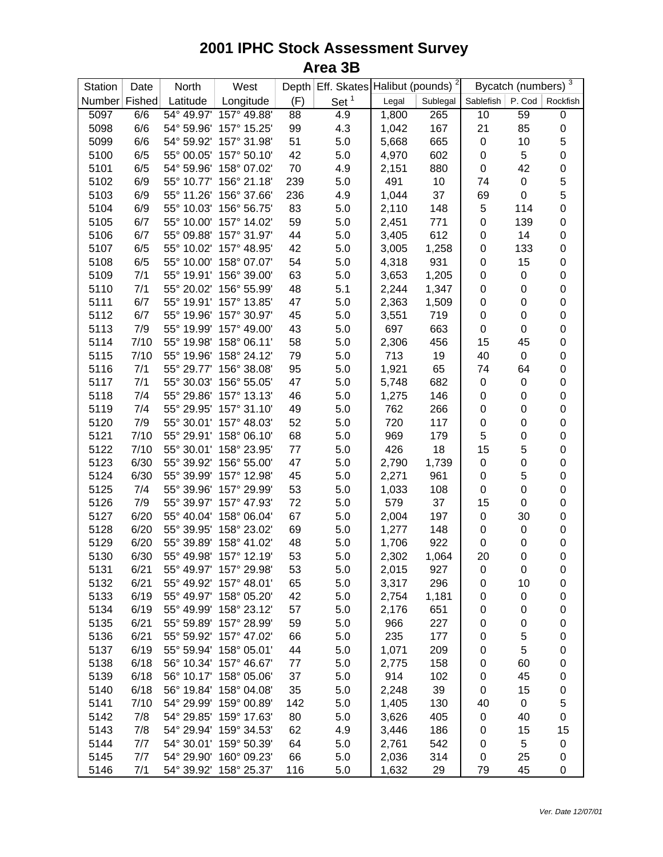| Station       | Date | North      | West                   |     | Depth Eff. Skates Halibut (pounds) <sup>2</sup> |       |          | Bycatch (numbers) <sup>3</sup> |                  |                     |
|---------------|------|------------|------------------------|-----|-------------------------------------------------|-------|----------|--------------------------------|------------------|---------------------|
| Number Fished |      | Latitude   | Longitude              | (F) | Set $1$                                         | Legal | Sublegal | Sablefish                      | P. Cod           | Rockfish            |
| 5097          | 6/6  | 54° 49.97' | 157° 49.88'            | 88  | 4.9                                             | 1,800 | 265      | 10                             | 59               | 0                   |
| 5098          | 6/6  | 54° 59.96' | 157° 15.25'            | 99  | 4.3                                             | 1,042 | 167      | 21                             | 85               | $\pmb{0}$           |
| 5099          | 6/6  | 54° 59.92' | 157° 31.98'            | 51  | 5.0                                             | 5,668 | 665      | $\pmb{0}$                      | 10               | 5                   |
| 5100          | 6/5  | 55° 00.05' | 157° 50.10'            | 42  | 5.0                                             | 4,970 | 602      | $\pmb{0}$                      | 5                | $\mathbf 0$         |
| 5101          | 6/5  | 54° 59.96' | 158° 07.02'            | 70  | 4.9                                             | 2,151 | 880      | $\boldsymbol{0}$               | 42               | $\mathbf 0$         |
| 5102          | 6/9  | 55° 10.77' | 156° 21.18'            | 239 | 5.0                                             | 491   | 10       | 74                             | $\pmb{0}$        | 5                   |
| 5103          | 6/9  | 55° 11.26' | 156° 37.66'            | 236 | 4.9                                             | 1,044 | 37       | 69                             | $\mathbf 0$      | 5                   |
| 5104          | 6/9  | 55° 10.03' | 156° 56.75'            | 83  | 5.0                                             | 2,110 | 148      | 5                              | 114              | $\mathbf 0$         |
| 5105          | 6/7  | 55° 10.00' | 157° 14.02'            | 59  | 5.0                                             | 2,451 | 771      | $\pmb{0}$                      | 139              | $\mathsf{O}\xspace$ |
| 5106          | 6/7  | 55° 09.88' | 157° 31.97'            | 44  | 5.0                                             | 3,405 | 612      | 0                              | 14               | 0                   |
| 5107          | 6/5  | 55° 10.02' | 157° 48.95'            | 42  | 5.0                                             | 3,005 | 1,258    | 0                              | 133              | 0                   |
| 5108          | 6/5  | 55° 10.00' | 158° 07.07'            | 54  | 5.0                                             | 4,318 | 931      | $\pmb{0}$                      | 15               | 0                   |
| 5109          | 7/1  | 55° 19.91' | 156° 39.00'            | 63  | 5.0                                             | 3,653 | 1,205    | 0                              | 0                | 0                   |
| 5110          | 7/1  | 55° 20.02' | 156° 55.99'            | 48  | 5.1                                             | 2,244 | 1,347    | $\boldsymbol{0}$               | 0                | 0                   |
| 5111          | 6/7  | 55° 19.91' | 157° 13.85'            | 47  | 5.0                                             | 2,363 | 1,509    | 0                              | $\boldsymbol{0}$ | 0                   |
| 5112          | 6/7  | 55° 19.96' | 157° 30.97'            | 45  | 5.0                                             | 3,551 | 719      | $\pmb{0}$                      | $\boldsymbol{0}$ | 0                   |
| 5113          | 7/9  | 55° 19.99' | 157° 49.00'            | 43  | 5.0                                             | 697   | 663      | 0                              | $\boldsymbol{0}$ | 0                   |
| 5114          | 7/10 | 55° 19.98' | 158° 06.11'            | 58  | 5.0                                             | 2,306 | 456      | 15                             | 45               | 0                   |
| 5115          | 7/10 | 55° 19.96' | 158° 24.12'            | 79  | 5.0                                             | 713   | 19       | 40                             | $\pmb{0}$        | 0                   |
| 5116          | 7/1  | 55° 29.77' | 156° 38.08'            | 95  | 5.0                                             | 1,921 | 65       | 74                             | 64               | 0                   |
| 5117          | 7/1  | 55° 30.03' | 156° 55.05'            | 47  | 5.0                                             | 5,748 | 682      | $\boldsymbol{0}$               | $\pmb{0}$        | $\mathsf{O}\xspace$ |
| 5118          | 7/4  | 55° 29.86' | 157° 13.13'            | 46  | 5.0                                             | 1,275 | 146      | $\boldsymbol{0}$               | $\boldsymbol{0}$ | $\pmb{0}$           |
| 5119          | 7/4  | 55° 29.95' | 157° 31.10'            | 49  | 5.0                                             | 762   | 266      | $\boldsymbol{0}$               | $\boldsymbol{0}$ | $\pmb{0}$           |
| 5120          | 7/9  | 55° 30.01' | 157° 48.03'            | 52  | 5.0                                             | 720   | 117      | $\boldsymbol{0}$               | $\boldsymbol{0}$ | $\pmb{0}$           |
| 5121          | 7/10 | 55° 29.91' | 158° 06.10'            | 68  | 5.0                                             | 969   | 179      | 5                              | $\boldsymbol{0}$ | $\pmb{0}$           |
| 5122          | 7/10 | 55° 30.01' | 158° 23.95'            | 77  | 5.0                                             | 426   | 18       | 15                             | 5                | $\mathbf 0$         |
| 5123          | 6/30 | 55° 39.92' | 156° 55.00'            | 47  | 5.0                                             | 2,790 | 1,739    | $\pmb{0}$                      | 0                | 0                   |
| 5124          | 6/30 | 55° 39.99' | 157° 12.98'            | 45  | 5.0                                             | 2,271 | 961      | 0                              | 5                | 0                   |
| 5125          | 7/4  | 55° 39.96' | 157° 29.99'            | 53  | 5.0                                             | 1,033 | 108      | 0                              | 0                | 0                   |
| 5126          | 7/9  | 55° 39.97' | 157° 47.93'            | 72  | 5.0                                             | 579   | 37       | 15                             | 0                | 0                   |
| 5127          | 6/20 | 55° 40.04' | 158° 06.04'            | 67  | 5.0                                             | 2,004 | 197      | 0                              | 30               | 0                   |
| 5128          | 6/20 | 55° 39.95' | 158° 23.02'            | 69  | 5.0                                             | 1,277 | 148      | 0                              | $\pmb{0}$        | 0                   |
| 5129          | 6/20 | 55° 39.89' | 158° 41.02'            | 48  | 5.0                                             | 1,706 | 922      | $\mathbf 0$                    | 0                | 0                   |
| 5130          | 6/30 | 55° 49.98' | 157° 12.19'            | 53  | 5.0                                             | 2,302 | 1,064    | 20                             | 0                | 0                   |
| 5131          | 6/21 |            | 55° 49.97' 157° 29.98' | 53  | 5.0                                             | 2,015 | 927      | 0                              | 0                | 0                   |
| 5132          | 6/21 |            | 55° 49.92' 157° 48.01' | 65  | 5.0                                             | 3,317 | 296      | 0                              | 10               | 0                   |
| 5133          | 6/19 |            | 55° 49.97' 158° 05.20' | 42  | 5.0                                             | 2,754 | 1,181    | 0                              | 0                | 0                   |
| 5134          | 6/19 | 55° 49.99' | 158° 23.12'            | 57  | 5.0                                             | 2,176 | 651      | 0                              | 0                | 0                   |
| 5135          | 6/21 |            | 55° 59.89' 157° 28.99' | 59  | 5.0                                             | 966   | 227      | 0                              | 0                | 0                   |
| 5136          | 6/21 |            | 55° 59.92' 157° 47.02' | 66  | 5.0                                             | 235   | 177      | 0                              | 5                | 0                   |
| 5137          | 6/19 |            | 55° 59.94' 158° 05.01' | 44  | 5.0                                             | 1,071 | 209      | 0                              | 5                | 0                   |
| 5138          | 6/18 |            | 56° 10.34' 157° 46.67' | 77  | 5.0                                             | 2,775 | 158      | 0                              | 60               | 0                   |
| 5139          | 6/18 | 56° 10.17' | 158° 05.06'            | 37  | 5.0                                             | 914   | 102      | 0                              | 45               | 0                   |
| 5140          | 6/18 |            | 56° 19.84' 158° 04.08' | 35  | 5.0                                             | 2,248 | 39       | 0                              | 15               | 0                   |
| 5141          | 7/10 | 54° 29.99' | 159° 00.89'            | 142 | 5.0                                             | 1,405 | 130      | 40                             | $\mathbf 0$      | 5                   |
| 5142          | 7/8  | 54° 29.85' | 159° 17.63'            | 80  | 5.0                                             | 3,626 | 405      | 0                              | 40               | 0                   |
| 5143          | 7/8  |            | 54° 29.94' 159° 34.53' | 62  | 4.9                                             | 3,446 | 186      | 0                              | 15               | 15                  |
| 5144          | 7/7  |            | 54° 30.01' 159° 50.39' | 64  | 5.0                                             | 2,761 | 542      | $\mathbf 0$                    | 5                | 0                   |
| 5145          | 7/7  | 54° 29.90' | 160° 09.23'            | 66  | 5.0                                             | 2,036 | 314      | $\mathbf 0$                    | 25               | 0                   |
| 5146          | 7/1  | 54° 39.92' | 158° 25.37'            | 116 | 5.0                                             | 1,632 | 29       | 79                             | 45               | 0                   |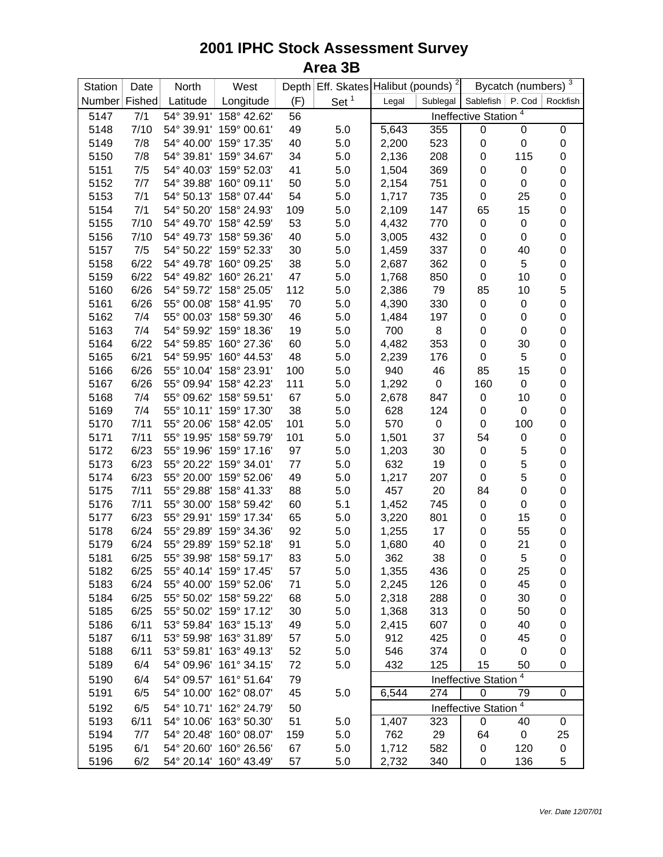| Station       | Date | North      | West                   |     | Depth Eff. Skates Halibut (pounds) <sup>2</sup> |                                                       |           | Bycatch (numbers) $\frac{3}{3}$ |                  |                  |
|---------------|------|------------|------------------------|-----|-------------------------------------------------|-------------------------------------------------------|-----------|---------------------------------|------------------|------------------|
| Number Fished |      | Latitude   | Longitude              | (F) | Set $1$                                         | Legal                                                 | Sublegal  | Sablefish   P. Cod              |                  | Rockfish         |
| 5147          | 7/1  | 54° 39.91' | 158° 42.62'            | 56  |                                                 | 4<br><b>Ineffective Station</b>                       |           |                                 |                  |                  |
| 5148          | 7/10 | 54° 39.91' | 159° 00.61'            | 49  | 5.0                                             | 5,643                                                 | 355       | $\pmb{0}$                       | 0                | 0                |
| 5149          | 7/8  | 54° 40.00' | 159° 17.35'            | 40  | 5.0                                             | 2,200                                                 | 523       | $\boldsymbol{0}$                | $\boldsymbol{0}$ | $\pmb{0}$        |
| 5150          | 7/8  | 54° 39.81' | 159° 34.67'            | 34  | 5.0                                             | 2,136                                                 | 208       | $\boldsymbol{0}$                | 115              | $\pmb{0}$        |
| 5151          | 7/5  | 54° 40.03' | 159° 52.03'            | 41  | 5.0                                             | 1,504                                                 | 369       | $\boldsymbol{0}$                | $\boldsymbol{0}$ | $\pmb{0}$        |
| 5152          | 7/7  | 54° 39.88' | 160° 09.11'            | 50  | 5.0                                             | 2,154                                                 | 751       | $\boldsymbol{0}$                | 0                | $\pmb{0}$        |
| 5153          | 7/1  | 54° 50.13' | 158° 07.44'            | 54  | 5.0                                             | 1,717                                                 | 735       | $\boldsymbol{0}$                | 25               | $\pmb{0}$        |
| 5154          | 7/1  | 54° 50.20' | 158° 24.93'            | 109 | 5.0                                             | 2,109                                                 | 147       | 65                              | 15               | $\pmb{0}$        |
| 5155          | 7/10 | 54° 49.70' | 158° 42.59'            | 53  | 5.0                                             | 4,432                                                 | 770       | $\pmb{0}$                       | $\pmb{0}$        | $\pmb{0}$        |
| 5156          | 7/10 | 54° 49.73' | 158° 59.36'            | 40  | 5.0                                             | 3,005                                                 | 432       | $\pmb{0}$                       | $\boldsymbol{0}$ | $\pmb{0}$        |
| 5157          | 7/5  | 54° 50.22' | 159° 52.33'            | 30  | 5.0                                             | 1,459                                                 | 337       | $\pmb{0}$                       | 40               | $\pmb{0}$        |
| 5158          | 6/22 | 54° 49.78' | 160° 09.25'            | 38  | 5.0                                             | 2,687                                                 | 362       | $\pmb{0}$                       | 5                | $\pmb{0}$        |
| 5159          | 6/22 | 54° 49.82' | 160° 26.21'            | 47  | 5.0                                             | 1,768                                                 | 850       | $\pmb{0}$                       | 10               | $\mathbf 0$      |
| 5160          | 6/26 | 54° 59.72' | 158° 25.05'            | 112 | 5.0                                             | 2,386                                                 | 79        | 85                              | 10               | 5                |
| 5161          | 6/26 | 55° 00.08' | 158° 41.95'            | 70  | 5.0                                             | 4,390                                                 | 330       | $\pmb{0}$                       | $\pmb{0}$        | $\mathbf 0$      |
| 5162          | 7/4  | 55° 00.03' | 158° 59.30'            | 46  | 5.0                                             | 1,484                                                 | 197       | $\pmb{0}$                       | $\pmb{0}$        | $\pmb{0}$        |
| 5163          | 7/4  | 54° 59.92' | 159° 18.36'            | 19  | 5.0                                             | 700                                                   | 8         | $\pmb{0}$                       | $\pmb{0}$        | $\mathbf 0$      |
| 5164          | 6/22 | 54° 59.85' | 160° 27.36'            | 60  | 5.0                                             | 4,482                                                 | 353       | $\mathbf 0$                     | 30               | $\mathbf 0$      |
| 5165          | 6/21 | 54° 59.95' | 160° 44.53'            | 48  | 5.0                                             | 2,239                                                 | 176       | $\pmb{0}$                       | 5                | $\mathbf 0$      |
| 5166          | 6/26 | 55° 10.04' | 158° 23.91'            | 100 | 5.0                                             | 940                                                   | 46        | 85                              | 15               | $\mathbf 0$      |
| 5167          | 6/26 | 55° 09.94' | 158° 42.23'            | 111 | 5.0                                             | 1,292                                                 | $\pmb{0}$ | 160                             | 0                | $\mathbf 0$      |
| 5168          | 7/4  | 55° 09.62' | 158° 59.51'            | 67  | 5.0                                             | 2,678                                                 | 847       | 0                               | 10               | $\mathbf 0$      |
| 5169          | 7/4  | 55° 10.11' | 159° 17.30'            | 38  | 5.0                                             | 628                                                   | 124       | $\pmb{0}$                       | $\pmb{0}$        | $\pmb{0}$        |
| 5170          | 7/11 | 55° 20.06' | 158° 42.05'            | 101 | 5.0                                             | 570                                                   | $\pmb{0}$ | 0                               | 100              | $\pmb{0}$        |
| 5171          | 7/11 | 55° 19.95' | 158° 59.79'            | 101 | 5.0                                             | 1,501                                                 | 37        | 54                              | 0                | $\pmb{0}$        |
| 5172          | 6/23 | 55° 19.96' | 159° 17.16'            | 97  | 5.0                                             | 1,203                                                 | 30        | $\pmb{0}$                       | $\mathbf 5$      | $\pmb{0}$        |
| 5173          | 6/23 | 55° 20.22' | 159° 34.01'            | 77  | 5.0                                             | 632                                                   | 19        | $\boldsymbol{0}$                | 5                | $\mathbf 0$      |
| 5174          | 6/23 | 55° 20.00' | 159° 52.06'            | 49  | 5.0                                             | 1,217                                                 | 207       | $\boldsymbol{0}$                | 5                | $\pmb{0}$        |
| 5175          | 7/11 | 55° 29.88' | 158° 41.33'            | 88  | 5.0                                             | 457                                                   | 20        | 84                              | 0                | $\pmb{0}$        |
| 5176          | 7/11 | 55° 30.00' | 158° 59.42'            | 60  | 5.1                                             | 1,452                                                 | 745       | $\pmb{0}$                       | $\pmb{0}$        | $\pmb{0}$        |
| 5177          | 6/23 | 55° 29.91' | 159° 17.34'            | 65  | 5.0                                             | 3,220                                                 | 801       | $\pmb{0}$                       | 15               | $\pmb{0}$        |
| 5178          | 6/24 | 55° 29.89' | 159° 34.36'            | 92  | 5.0                                             | 1,255                                                 | 17        | $\pmb{0}$                       | 55               | $\pmb{0}$        |
| 5179          | 6/24 | 55° 29.89' | 159° 52.18'            | 91  | 5.0                                             | 1,680                                                 | 40        | $\pmb{0}$                       | 21               | $\pmb{0}$        |
| 5181          | 6/25 | 55° 39.98' | 158° 59.17'            | 83  | 5.0                                             | 362                                                   | 38        | $\mathbf 0$                     | 5                | $\mathbf 0$      |
| 5182          | 6/25 |            | 55° 40.14' 159° 17.45' | 57  | 5.0                                             | 1,355                                                 | 436       | $\mathbf 0$                     | 25               | 0                |
| 5183          | 6/24 |            | 55° 40.00' 159° 52.06' | 71  | 5.0                                             | 2,245                                                 | 126       | $\pmb{0}$                       | 45               | $\pmb{0}$        |
| 5184          | 6/25 |            | 55° 50.02' 158° 59.22' | 68  | 5.0                                             | 2,318                                                 | 288       | $\mathbf 0$                     | 30               | $\pmb{0}$        |
| 5185          | 6/25 | 55° 50.02' | 159° 17.12'            | 30  | 5.0                                             | 1,368                                                 | 313       | $\pmb{0}$                       | 50               | $\pmb{0}$        |
| 5186          | 6/11 | 53° 59.84' | 163° 15.13'            | 49  | 5.0                                             | 2,415                                                 | 607       | $\pmb{0}$                       | 40               | 0                |
| 5187          | 6/11 | 53° 59.98' | 163° 31.89'            | 57  | 5.0                                             | 912                                                   | 425       | 0                               | 45               | 0                |
| 5188          | 6/11 | 53° 59.81' | 163° 49.13'            | 52  | 5.0                                             | 546                                                   | 374       | $\mathbf 0$                     | 0                | 0                |
| 5189          | 6/4  | 54° 09.96' | 161° 34.15'            | 72  | 5.0                                             | 432                                                   | 125       | 15                              | 50               | $\mathbf 0$      |
| 5190          | 6/4  | 54° 09.57' | 161° 51.64'            | 79  |                                                 |                                                       |           | Ineffective Station             | 4                |                  |
| 5191          | 6/5  | 54° 10.00' | 162° 08.07'            | 45  | 5.0                                             | 6,544                                                 | 274       | $\boldsymbol{0}$                | 79               | $\boldsymbol{0}$ |
| 5192          | 6/5  | 54° 10.71' | 162° 24.79'            | 50  |                                                 | $\overline{\mathbf{4}}$<br><b>Ineffective Station</b> |           |                                 |                  |                  |
| 5193          | 6/11 | 54° 10.06' | 163° 50.30'            | 51  | 5.0                                             | 1,407                                                 | 323       | 0                               | 40               | 0                |
| 5194          | 7/7  | 54° 20.48' | 160° 08.07'            | 159 | 5.0                                             | 762                                                   | 29        | 64                              | 0                | 25               |
| 5195          | 6/1  | 54° 20.60' | 160° 26.56'            | 67  | 5.0                                             | 1,712                                                 | 582       | 0                               | 120              | $\pmb{0}$        |
| 5196          | 6/2  | 54° 20.14' | 160° 43.49'            | 57  | 5.0                                             | 2,732                                                 | 340       | 0                               | 136              | 5                |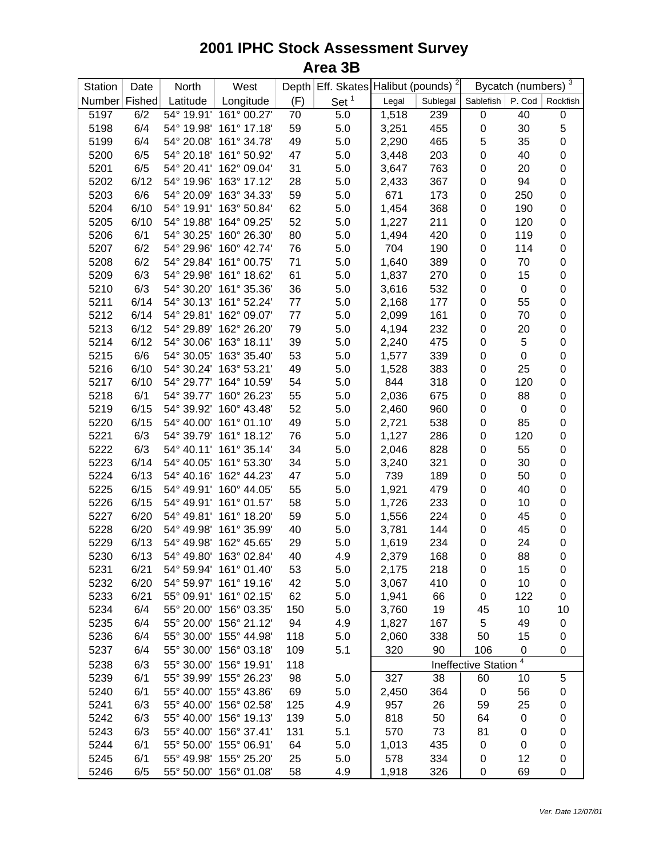| Station       | Date | North      | West                   |     | Depth Eff. Skates Halibut (pounds) <sup>2</sup> |       |          | Bycatch (numbers) $\frac{3}{3}$ |                  |                  |
|---------------|------|------------|------------------------|-----|-------------------------------------------------|-------|----------|---------------------------------|------------------|------------------|
| Number Fished |      | Latitude   | Longitude              | (F) | Set $1$                                         | Legal | Sublegal | Sablefish                       | P. Cod           | Rockfish         |
| 5197          | 6/2  | 54° 19.91' | 161° 00.27'            | 70  | 5.0                                             | 1,518 | 239      | 0                               | 40               | $\mathbf 0$      |
| 5198          | 6/4  | 54° 19.98' | 161° 17.18'            | 59  | 5.0                                             | 3,251 | 455      | 0                               | 30               | 5                |
| 5199          | 6/4  | 54° 20.08' | 161° 34.78'            | 49  | 5.0                                             | 2,290 | 465      | 5                               | 35               | $\pmb{0}$        |
| 5200          | 6/5  | 54° 20.18' | 161° 50.92'            | 47  | 5.0                                             | 3,448 | 203      | 0                               | 40               | $\pmb{0}$        |
| 5201          | 6/5  | 54° 20.41' | 162° 09.04'            | 31  | 5.0                                             | 3,647 | 763      | 0                               | 20               | $\pmb{0}$        |
| 5202          | 6/12 | 54° 19.96' | 163° 17.12'            | 28  | 5.0                                             | 2,433 | 367      | 0                               | 94               | $\mathbf 0$      |
| 5203          | 6/6  | 54° 20.09' | 163° 34.33'            | 59  | 5.0                                             | 671   | 173      | 0                               | 250              | $\mathbf 0$      |
| 5204          | 6/10 | 54° 19.91' | 163° 50.84'            | 62  | 5.0                                             | 1,454 | 368      | 0                               | 190              | $\pmb{0}$        |
| 5205          | 6/10 | 54° 19.88' | 164° 09.25'            | 52  | 5.0                                             | 1,227 | 211      | 0                               | 120              | $\mathbf 0$      |
| 5206          | 6/1  | 54° 30.25' | 160° 26.30'            | 80  | 5.0                                             | 1,494 | 420      | 0                               | 119              | $\boldsymbol{0}$ |
| 5207          | 6/2  | 54° 29.96' | 160° 42.74'            | 76  | 5.0                                             | 704   | 190      | 0                               | 114              | $\boldsymbol{0}$ |
| 5208          | 6/2  | 54° 29.84' | 161° 00.75'            | 71  | 5.0                                             | 1,640 | 389      | 0                               | 70               | $\boldsymbol{0}$ |
| 5209          | 6/3  | 54° 29.98' | 161° 18.62'            | 61  | 5.0                                             | 1,837 | 270      | 0                               | 15               | $\pmb{0}$        |
| 5210          | 6/3  | 54° 30.20' | 161° 35.36'            | 36  | 5.0                                             | 3,616 | 532      | 0                               | $\pmb{0}$        | $\pmb{0}$        |
| 5211          | 6/14 | 54° 30.13' | 161° 52.24'            | 77  | 5.0                                             | 2,168 | 177      | 0                               | 55               | $\mathbf 0$      |
| 5212          | 6/14 | 54° 29.81' | 162° 09.07'            | 77  | 5.0                                             | 2,099 | 161      | 0                               | 70               | $\pmb{0}$        |
| 5213          | 6/12 | 54° 29.89' | 162° 26.20'            | 79  | 5.0                                             | 4,194 | 232      | 0                               | 20               | $\mathbf 0$      |
| 5214          | 6/12 | 54° 30.06' | 163° 18.11'            | 39  | 5.0                                             | 2,240 | 475      | 0                               | 5                | $\pmb{0}$        |
| 5215          | 6/6  | 54° 30.05' | 163° 35.40'            | 53  | 5.0                                             | 1,577 | 339      | 0                               | $\boldsymbol{0}$ | $\mathbf 0$      |
| 5216          | 6/10 | 54° 30.24' | 163° 53.21'            | 49  | 5.0                                             | 1,528 | 383      | 0                               | 25               | $\pmb{0}$        |
| 5217          | 6/10 | 54° 29.77' | 164° 10.59'            | 54  | 5.0                                             | 844   | 318      | 0                               | 120              | $\pmb{0}$        |
| 5218          | 6/1  | 54° 39.77' | 160° 26.23'            | 55  | 5.0                                             | 2,036 | 675      | 0                               | 88               | $\mathbf 0$      |
| 5219          | 6/15 | 54° 39.92' | 160° 43.48'            | 52  | 5.0                                             | 2,460 | 960      | 0                               | 0                | $\pmb{0}$        |
| 5220          | 6/15 | 54° 40.00' | 161° 01.10'            | 49  | 5.0                                             | 2,721 | 538      | 0                               | 85               | $\pmb{0}$        |
| 5221          | 6/3  | 54° 39.79' | 161° 18.12'            | 76  | 5.0                                             | 1,127 | 286      | 0                               | 120              | $\pmb{0}$        |
| 5222          | 6/3  | 54° 40.11' | 161° 35.14'            | 34  | 5.0                                             | 2,046 | 828      | 0                               | 55               | $\pmb{0}$        |
| 5223          | 6/14 | 54° 40.05' | 161° 53.30'            | 34  | 5.0                                             | 3,240 | 321      | 0                               | 30               | $\mathbf 0$      |
| 5224          | 6/13 | 54° 40.16' | 162° 44.23'            | 47  | 5.0                                             | 739   | 189      | 0                               | 50               | $\pmb{0}$        |
| 5225          | 6/15 | 54° 49.91' | 160° 44.05'            | 55  | 5.0                                             | 1,921 | 479      | 0                               | 40               | $\boldsymbol{0}$ |
| 5226          | 6/15 | 54° 49.91' | 161° 01.57'            | 58  | 5.0                                             | 1,726 | 233      | 0                               | 10               | $\boldsymbol{0}$ |
| 5227          | 6/20 | 54° 49.81' |                        | 59  | 5.0                                             |       | 224      | 0                               | 45               | $\boldsymbol{0}$ |
|               | 6/20 |            | 161° 18.20'            | 40  |                                                 | 1,556 |          |                                 |                  | $\boldsymbol{0}$ |
| 5228          |      | 54° 49.98' | 161° 35.99'            |     | 5.0                                             | 3,781 | 144      | 0                               | 45               |                  |
| 5229          | 6/13 | 54° 49.98' | 162° 45.65'            | 29  | 5.0                                             | 1,619 | 234      | 0                               | 24               | $\pmb{0}$        |
| 5230          | 6/13 |            | 54° 49.80' 163° 02.84' | 40  | 4.9                                             | 2,379 | 168      | 0                               | 88               | $\mathbf 0$      |
| 5231          | 6/21 |            | 54° 59.94' 161° 01.40' | 53  | 5.0                                             | 2,175 | 218      | 0                               | 15               | 0                |
| 5232          | 6/20 |            | 54° 59.97' 161° 19.16' | 42  | 5.0                                             | 3,067 | 410      | 0                               | 10               | 0                |
| 5233          | 6/21 |            | 55° 09.91' 161° 02.15' | 62  | 5.0                                             | 1,941 | 66       | 0                               | 122              | $\mathbf 0$      |
| 5234          | 6/4  |            | 55° 20.00' 156° 03.35' | 150 | 5.0                                             | 3,760 | 19       | 45                              | 10               | 10               |
| 5235          | 6/4  | 55° 20.00' | 156° 21.12'            | 94  | 4.9                                             | 1,827 | 167      | 5                               | 49               | 0                |
| 5236          | 6/4  | 55° 30.00' | 155° 44.98'            | 118 | 5.0                                             | 2,060 | 338      | 50                              | 15               | 0                |
| 5237          | 6/4  | 55° 30.00' | 156° 03.18'            | 109 | 5.1                                             | 320   | 90       | 106                             | $\pmb{0}$        | 0                |
| 5238          | 6/3  | 55° 30.00' | 156° 19.91'            | 118 |                                                 |       |          | <b>Ineffective Station</b>      | 4                |                  |
| 5239          | 6/1  | 55° 39.99' | 155° 26.23'            | 98  | 5.0                                             | 327   | 38       | 60                              | 10               | 5                |
| 5240          | 6/1  | 55° 40.00' | 155° 43.86'            | 69  | 5.0                                             | 2,450 | 364      | 0                               | 56               | 0                |
| 5241          | 6/3  | 55° 40.00' | 156° 02.58'            | 125 | 4.9                                             | 957   | 26       | 59                              | 25               | 0                |
| 5242          | 6/3  | 55° 40.00' | 156° 19.13'            | 139 | 5.0                                             | 818   | 50       | 64                              | 0                | 0                |
| 5243          | 6/3  | 55° 40.00' | 156° 37.41'            | 131 | 5.1                                             | 570   | 73       | 81                              | 0                | 0                |
| 5244          | 6/1  | 55° 50.00' | 155° 06.91'            | 64  | 5.0                                             | 1,013 | 435      | 0                               | 0                | 0                |
| 5245          | 6/1  | 55° 49.98' | 155° 25.20'            | 25  | 5.0                                             | 578   | 334      | 0                               | 12               | 0                |
| 5246          | 6/5  | 55° 50.00' | 156° 01.08'            | 58  | 4.9                                             | 1,918 | 326      | 0                               | 69               | 0                |